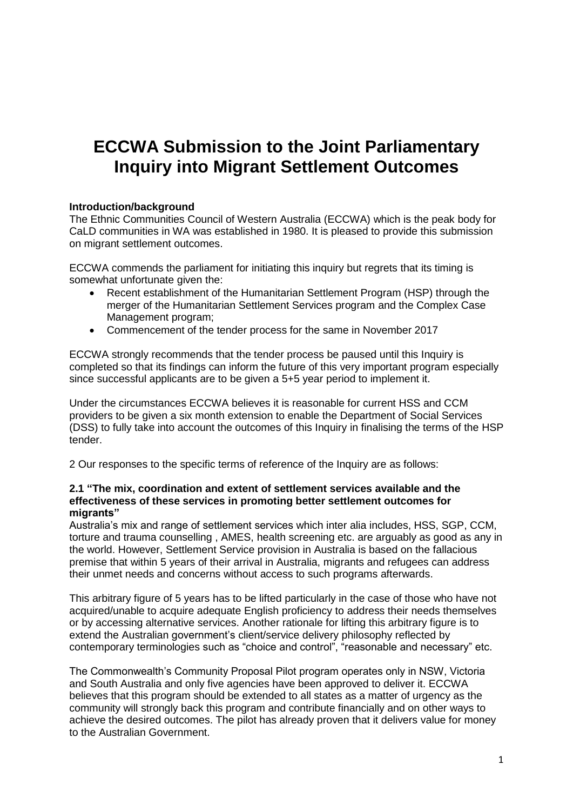# **ECCWA Submission to the Joint [Parliamentary](http://www.aph.gov.au/Parliamentary_Business/Committees/Joint/Migration/settlementoutcomes)  [Inquiry into Migrant Settlement Outcomes](http://www.aph.gov.au/Parliamentary_Business/Committees/Joint/Migration/settlementoutcomes)**

# **Introduction/background**

The Ethnic Communities Council of Western Australia (ECCWA) which is the peak body for CaLD communities in WA was established in 1980. It is pleased to provide this submission on migrant settlement outcomes.

ECCWA commends the parliament for initiating this inquiry but regrets that its timing is somewhat unfortunate given the:

- Recent establishment of the Humanitarian Settlement Program (HSP) through the merger of the Humanitarian Settlement Services program and the Complex Case Management program;
- Commencement of the tender process for the same in November 2017

ECCWA strongly recommends that the tender process be paused until this Inquiry is completed so that its findings can inform the future of this very important program especially since successful applicants are to be given a 5+5 year period to implement it.

Under the circumstances ECCWA believes it is reasonable for current HSS and CCM providers to be given a six month extension to enable the Department of Social Services (DSS) to fully take into account the outcomes of this Inquiry in finalising the terms of the HSP tender.

2 Our responses to the specific terms of reference of the Inquiry are as follows:

#### **2.1 "The mix, coordination and extent of settlement services available and the effectiveness of these services in promoting better settlement outcomes for migrants"**

Australia's mix and range of settlement services which inter alia includes, HSS, SGP, CCM, torture and trauma counselling , AMES, health screening etc. are arguably as good as any in the world. However, Settlement Service provision in Australia is based on the fallacious premise that within 5 years of their arrival in Australia, migrants and refugees can address their unmet needs and concerns without access to such programs afterwards.

This arbitrary figure of 5 years has to be lifted particularly in the case of those who have not acquired/unable to acquire adequate English proficiency to address their needs themselves or by accessing alternative services. Another rationale for lifting this arbitrary figure is to extend the Australian government's client/service delivery philosophy reflected by contemporary terminologies such as "choice and control", "reasonable and necessary" etc.

The Commonwealth's Community Proposal Pilot program operates only in NSW, Victoria and South Australia and only five agencies have been approved to deliver it. ECCWA believes that this program should be extended to all states as a matter of urgency as the community will strongly back this program and contribute financially and on other ways to achieve the desired outcomes. The pilot has already proven that it delivers value for money to the Australian Government.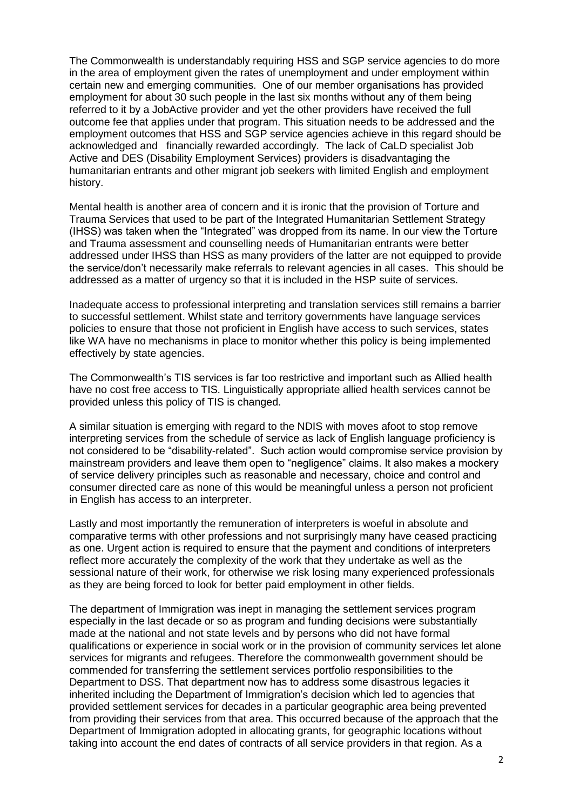The Commonwealth is understandably requiring HSS and SGP service agencies to do more in the area of employment given the rates of unemployment and under employment within certain new and emerging communities. One of our member organisations has provided employment for about 30 such people in the last six months without any of them being referred to it by a JobActive provider and yet the other providers have received the full outcome fee that applies under that program. This situation needs to be addressed and the employment outcomes that HSS and SGP service agencies achieve in this regard should be acknowledged and financially rewarded accordingly. The lack of CaLD specialist Job Active and DES (Disability Employment Services) providers is disadvantaging the humanitarian entrants and other migrant job seekers with limited English and employment history.

Mental health is another area of concern and it is ironic that the provision of Torture and Trauma Services that used to be part of the Integrated Humanitarian Settlement Strategy (IHSS) was taken when the "Integrated" was dropped from its name. In our view the Torture and Trauma assessment and counselling needs of Humanitarian entrants were better addressed under IHSS than HSS as many providers of the latter are not equipped to provide the service/don't necessarily make referrals to relevant agencies in all cases. This should be addressed as a matter of urgency so that it is included in the HSP suite of services.

Inadequate access to professional interpreting and translation services still remains a barrier to successful settlement. Whilst state and territory governments have language services policies to ensure that those not proficient in English have access to such services, states like WA have no mechanisms in place to monitor whether this policy is being implemented effectively by state agencies.

The Commonwealth's TIS services is far too restrictive and important such as Allied health have no cost free access to TIS. Linguistically appropriate allied health services cannot be provided unless this policy of TIS is changed.

A similar situation is emerging with regard to the NDIS with moves afoot to stop remove interpreting services from the schedule of service as lack of English language proficiency is not considered to be "disability-related". Such action would compromise service provision by mainstream providers and leave them open to "negligence" claims. It also makes a mockery of service delivery principles such as reasonable and necessary, choice and control and consumer directed care as none of this would be meaningful unless a person not proficient in English has access to an interpreter.

Lastly and most importantly the remuneration of interpreters is woeful in absolute and comparative terms with other professions and not surprisingly many have ceased practicing as one. Urgent action is required to ensure that the payment and conditions of interpreters reflect more accurately the complexity of the work that they undertake as well as the sessional nature of their work, for otherwise we risk losing many experienced professionals as they are being forced to look for better paid employment in other fields.

The department of Immigration was inept in managing the settlement services program especially in the last decade or so as program and funding decisions were substantially made at the national and not state levels and by persons who did not have formal qualifications or experience in social work or in the provision of community services let alone services for migrants and refugees. Therefore the commonwealth government should be commended for transferring the settlement services portfolio responsibilities to the Department to DSS. That department now has to address some disastrous legacies it inherited including the Department of Immigration's decision which led to agencies that provided settlement services for decades in a particular geographic area being prevented from providing their services from that area. This occurred because of the approach that the Department of Immigration adopted in allocating grants, for geographic locations without taking into account the end dates of contracts of all service providers in that region. As a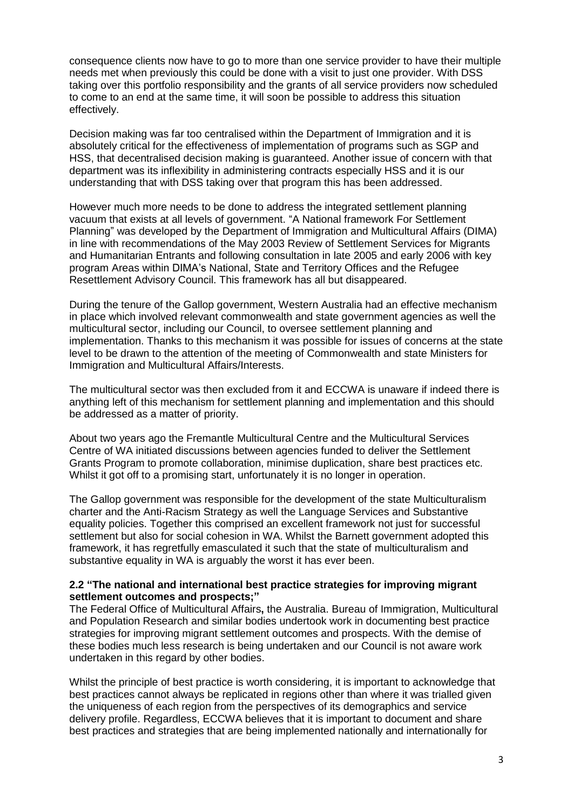consequence clients now have to go to more than one service provider to have their multiple needs met when previously this could be done with a visit to just one provider. With DSS taking over this portfolio responsibility and the grants of all service providers now scheduled to come to an end at the same time, it will soon be possible to address this situation effectively.

Decision making was far too centralised within the Department of Immigration and it is absolutely critical for the effectiveness of implementation of programs such as SGP and HSS, that decentralised decision making is guaranteed. Another issue of concern with that department was its inflexibility in administering contracts especially HSS and it is our understanding that with DSS taking over that program this has been addressed.

However much more needs to be done to address the integrated settlement planning vacuum that exists at all levels of government. "A National framework For Settlement Planning" was developed by the Department of Immigration and Multicultural Affairs (DIMA) in line with recommendations of the May 2003 Review of Settlement Services for Migrants and Humanitarian Entrants and following consultation in late 2005 and early 2006 with key program Areas within DIMA's National, State and Territory Offices and the Refugee Resettlement Advisory Council. This framework has all but disappeared.

During the tenure of the Gallop government, Western Australia had an effective mechanism in place which involved relevant commonwealth and state government agencies as well the multicultural sector, including our Council, to oversee settlement planning and implementation. Thanks to this mechanism it was possible for issues of concerns at the state level to be drawn to the attention of the meeting of Commonwealth and state Ministers for Immigration and Multicultural Affairs/Interests.

The multicultural sector was then excluded from it and ECCWA is unaware if indeed there is anything left of this mechanism for settlement planning and implementation and this should be addressed as a matter of priority.

About two years ago the Fremantle Multicultural Centre and the Multicultural Services Centre of WA initiated discussions between agencies funded to deliver the Settlement Grants Program to promote collaboration, minimise duplication, share best practices etc. Whilst it got off to a promising start, unfortunately it is no longer in operation.

The Gallop government was responsible for the development of the state Multiculturalism charter and the Anti-Racism Strategy as well the Language Services and Substantive equality policies. Together this comprised an excellent framework not just for successful settlement but also for social cohesion in WA. Whilst the Barnett government adopted this framework, it has regretfully emasculated it such that the state of multiculturalism and substantive equality in WA is arguably the worst it has ever been.

### **2.2 "The national and international best practice strategies for improving migrant settlement outcomes and prospects;"**

The Federal Office of Multicultural Affairs**,** the Australia. Bureau of Immigration, Multicultural and Population Research and similar bodies undertook work in documenting best practice strategies for improving migrant settlement outcomes and prospects. With the demise of these bodies much less research is being undertaken and our Council is not aware work undertaken in this regard by other bodies.

Whilst the principle of best practice is worth considering, it is important to acknowledge that best practices cannot always be replicated in regions other than where it was trialled given the uniqueness of each region from the perspectives of its demographics and service delivery profile. Regardless, ECCWA believes that it is important to document and share best practices and strategies that are being implemented nationally and internationally for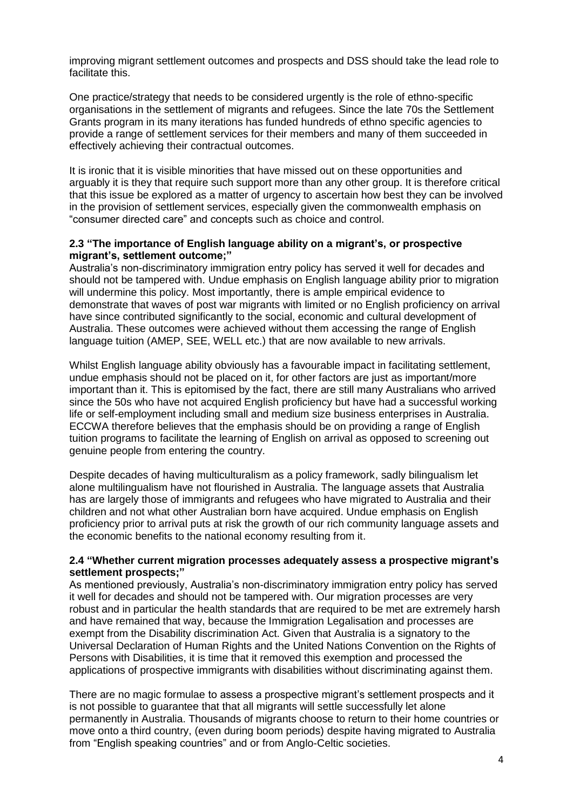improving migrant settlement outcomes and prospects and DSS should take the lead role to facilitate this.

One practice/strategy that needs to be considered urgently is the role of ethno-specific organisations in the settlement of migrants and refugees. Since the late 70s the Settlement Grants program in its many iterations has funded hundreds of ethno specific agencies to provide a range of settlement services for their members and many of them succeeded in effectively achieving their contractual outcomes.

It is ironic that it is visible minorities that have missed out on these opportunities and arguably it is they that require such support more than any other group. It is therefore critical that this issue be explored as a matter of urgency to ascertain how best they can be involved in the provision of settlement services, especially given the commonwealth emphasis on "consumer directed care" and concepts such as choice and control.

## **2.3 "The importance of English language ability on a migrant's, or prospective migrant's, settlement outcome;"**

Australia's non-discriminatory immigration entry policy has served it well for decades and should not be tampered with. Undue emphasis on English language ability prior to migration will undermine this policy. Most importantly, there is ample empirical evidence to demonstrate that waves of post war migrants with limited or no English proficiency on arrival have since contributed significantly to the social, economic and cultural development of Australia. These outcomes were achieved without them accessing the range of English language tuition (AMEP, SEE, WELL etc.) that are now available to new arrivals.

Whilst English language ability obviously has a favourable impact in facilitating settlement, undue emphasis should not be placed on it, for other factors are just as important/more important than it. This is epitomised by the fact, there are still many Australians who arrived since the 50s who have not acquired English proficiency but have had a successful working life or self-employment including small and medium size business enterprises in Australia. ECCWA therefore believes that the emphasis should be on providing a range of English tuition programs to facilitate the learning of English on arrival as opposed to screening out genuine people from entering the country.

Despite decades of having multiculturalism as a policy framework, sadly bilingualism let alone multilingualism have not flourished in Australia. The language assets that Australia has are largely those of immigrants and refugees who have migrated to Australia and their children and not what other Australian born have acquired. Undue emphasis on English proficiency prior to arrival puts at risk the growth of our rich community language assets and the economic benefits to the national economy resulting from it.

### **2.4 "Whether current migration processes adequately assess a prospective migrant's settlement prospects;"**

As mentioned previously, Australia's non-discriminatory immigration entry policy has served it well for decades and should not be tampered with. Our migration processes are very robust and in particular the health standards that are required to be met are extremely harsh and have remained that way, because the Immigration Legalisation and processes are exempt from the Disability discrimination Act. Given that Australia is a signatory to the Universal Declaration of Human Rights and the United Nations Convention on the Rights of Persons with Disabilities, it is time that it removed this exemption and processed the applications of prospective immigrants with disabilities without discriminating against them.

There are no magic formulae to assess a prospective migrant's settlement prospects and it is not possible to guarantee that that all migrants will settle successfully let alone permanently in Australia. Thousands of migrants choose to return to their home countries or move onto a third country, (even during boom periods) despite having migrated to Australia from "English speaking countries" and or from Anglo-Celtic societies.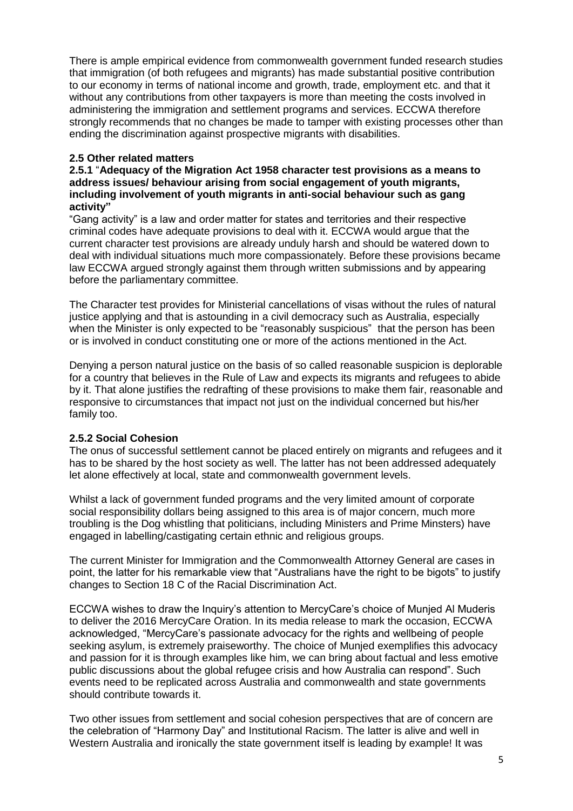There is ample empirical evidence from commonwealth government funded research studies that immigration (of both refugees and migrants) has made substantial positive contribution to our economy in terms of national income and growth, trade, employment etc. and that it without any contributions from other taxpayers is more than meeting the costs involved in administering the immigration and settlement programs and services. ECCWA therefore strongly recommends that no changes be made to tamper with existing processes other than ending the discrimination against prospective migrants with disabilities.

# **2.5 Other related matters**

**2.5.1** "**Adequacy of the Migration Act 1958 character test provisions as a means to address issues/ behaviour arising from social engagement of youth migrants, including involvement of youth migrants in anti-social behaviour such as gang activity"**

"Gang activity" is a law and order matter for states and territories and their respective criminal codes have adequate provisions to deal with it. ECCWA would argue that the current character test provisions are already unduly harsh and should be watered down to deal with individual situations much more compassionately. Before these provisions became law ECCWA argued strongly against them through written submissions and by appearing before the parliamentary committee.

The Character test provides for Ministerial cancellations of visas without the rules of natural justice applying and that is astounding in a civil democracy such as Australia, especially when the Minister is only expected to be "reasonably suspicious" that the person has been or is involved in conduct constituting one or more of the actions mentioned in the Act.

Denying a person natural justice on the basis of so called reasonable suspicion is deplorable for a country that believes in the Rule of Law and expects its migrants and refugees to abide by it. That alone justifies the redrafting of these provisions to make them fair, reasonable and responsive to circumstances that impact not just on the individual concerned but his/her family too.

# **2.5.2 Social Cohesion**

The onus of successful settlement cannot be placed entirely on migrants and refugees and it has to be shared by the host society as well. The latter has not been addressed adequately let alone effectively at local, state and commonwealth government levels.

Whilst a lack of government funded programs and the very limited amount of corporate social responsibility dollars being assigned to this area is of major concern, much more troubling is the Dog whistling that politicians, including Ministers and Prime Minsters) have engaged in labelling/castigating certain ethnic and religious groups.

The current Minister for Immigration and the Commonwealth Attorney General are cases in point, the latter for his remarkable view that "Australians have the right to be bigots" to justify changes to Section 18 C of the Racial Discrimination Act.

ECCWA wishes to draw the Inquiry's attention to MercyCare's choice of Munjed Al Muderis to deliver the 2016 MercyCare Oration. In its media release to mark the occasion, ECCWA acknowledged, "MercyCare's passionate advocacy for the rights and wellbeing of people seeking asylum, is extremely praiseworthy. The choice of Munjed exemplifies this advocacy and passion for it is through examples like him, we can bring about factual and less emotive public discussions about the global refugee crisis and how Australia can respond". Such events need to be replicated across Australia and commonwealth and state governments should contribute towards it.

Two other issues from settlement and social cohesion perspectives that are of concern are the celebration of "Harmony Day" and Institutional Racism. The latter is alive and well in Western Australia and ironically the state government itself is leading by example! It was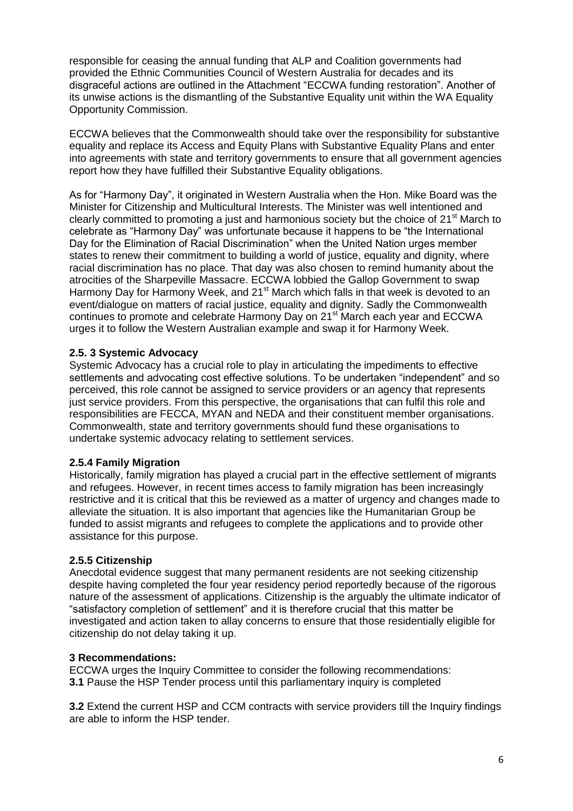responsible for ceasing the annual funding that ALP and Coalition governments had provided the Ethnic Communities Council of Western Australia for decades and its disgraceful actions are outlined in the Attachment "ECCWA funding restoration". Another of its unwise actions is the dismantling of the Substantive Equality unit within the WA Equality Opportunity Commission.

ECCWA believes that the Commonwealth should take over the responsibility for substantive equality and replace its Access and Equity Plans with Substantive Equality Plans and enter into agreements with state and territory governments to ensure that all government agencies report how they have fulfilled their Substantive Equality obligations.

As for "Harmony Day", it originated in Western Australia when the Hon. Mike Board was the Minister for Citizenship and Multicultural Interests. The Minister was well intentioned and clearly committed to promoting a just and harmonious society but the choice of 21<sup>st</sup> March to celebrate as "Harmony Day" was unfortunate because it happens to be "the International Day for the Elimination of Racial Discrimination" when the United Nation urges member states to renew their commitment to building a world of justice, equality and dignity, where racial discrimination has no place. That day was also chosen to remind humanity about the atrocities of the Sharpeville Massacre. ECCWA lobbied the Gallop Government to swap Harmony Day for Harmony Week, and 21<sup>st</sup> March which falls in that week is devoted to an event/dialogue on matters of racial justice, equality and dignity. Sadly the Commonwealth continues to promote and celebrate Harmony Day on 21st March each year and ECCWA urges it to follow the Western Australian example and swap it for Harmony Week.

# **2.5. 3 Systemic Advocacy**

Systemic Advocacy has a crucial role to play in articulating the impediments to effective settlements and advocating cost effective solutions. To be undertaken "independent" and so perceived, this role cannot be assigned to service providers or an agency that represents just service providers. From this perspective, the organisations that can fulfil this role and responsibilities are FECCA, MYAN and NEDA and their constituent member organisations. Commonwealth, state and territory governments should fund these organisations to undertake systemic advocacy relating to settlement services.

# **2.5.4 Family Migration**

Historically, family migration has played a crucial part in the effective settlement of migrants and refugees. However, in recent times access to family migration has been increasingly restrictive and it is critical that this be reviewed as a matter of urgency and changes made to alleviate the situation. It is also important that agencies like the Humanitarian Group be funded to assist migrants and refugees to complete the applications and to provide other assistance for this purpose.

# **2.5.5 Citizenship**

Anecdotal evidence suggest that many permanent residents are not seeking citizenship despite having completed the four year residency period reportedly because of the rigorous nature of the assessment of applications. Citizenship is the arguably the ultimate indicator of "satisfactory completion of settlement" and it is therefore crucial that this matter be investigated and action taken to allay concerns to ensure that those residentially eligible for citizenship do not delay taking it up.

# **3 Recommendations:**

ECCWA urges the Inquiry Committee to consider the following recommendations: **3.1** Pause the HSP Tender process until this parliamentary inquiry is completed

**3.2** Extend the current HSP and CCM contracts with service providers till the Inquiry findings are able to inform the HSP tender.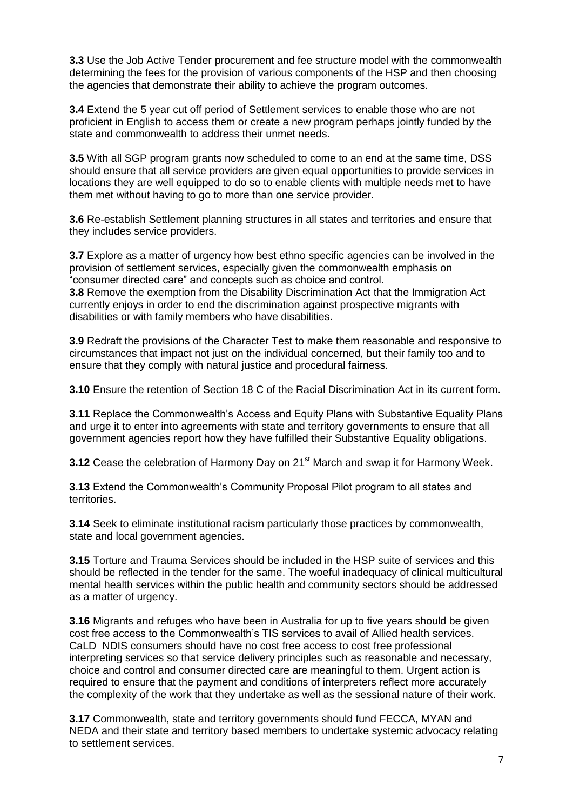**3.3** Use the Job Active Tender procurement and fee structure model with the commonwealth determining the fees for the provision of various components of the HSP and then choosing the agencies that demonstrate their ability to achieve the program outcomes.

**3.4** Extend the 5 year cut off period of Settlement services to enable those who are not proficient in English to access them or create a new program perhaps jointly funded by the state and commonwealth to address their unmet needs.

**3.5** With all SGP program grants now scheduled to come to an end at the same time, DSS should ensure that all service providers are given equal opportunities to provide services in locations they are well equipped to do so to enable clients with multiple needs met to have them met without having to go to more than one service provider.

**3.6** Re-establish Settlement planning structures in all states and territories and ensure that they includes service providers.

**3.7** Explore as a matter of urgency how best ethno specific agencies can be involved in the provision of settlement services, especially given the commonwealth emphasis on "consumer directed care" and concepts such as choice and control.

**3.8** Remove the exemption from the Disability Discrimination Act that the Immigration Act currently enjoys in order to end the discrimination against prospective migrants with disabilities or with family members who have disabilities.

**3.9** Redraft the provisions of the Character Test to make them reasonable and responsive to circumstances that impact not just on the individual concerned, but their family too and to ensure that they comply with natural justice and procedural fairness.

**3.10** Ensure the retention of Section 18 C of the Racial Discrimination Act in its current form.

**3.11** Replace the Commonwealth's Access and Equity Plans with Substantive Equality Plans and urge it to enter into agreements with state and territory governments to ensure that all government agencies report how they have fulfilled their Substantive Equality obligations.

**3.12** Cease the celebration of Harmony Day on 21<sup>st</sup> March and swap it for Harmony Week.

**3.13** Extend the Commonwealth's Community Proposal Pilot program to all states and territories.

**3.14** Seek to eliminate institutional racism particularly those practices by commonwealth, state and local government agencies.

**3.15** Torture and Trauma Services should be included in the HSP suite of services and this should be reflected in the tender for the same. The woeful inadequacy of clinical multicultural mental health services within the public health and community sectors should be addressed as a matter of urgency.

**3.16** Migrants and refuges who have been in Australia for up to five years should be given cost free access to the Commonwealth's TIS services to avail of Allied health services. CaLD NDIS consumers should have no cost free access to cost free professional interpreting services so that service delivery principles such as reasonable and necessary, choice and control and consumer directed care are meaningful to them. Urgent action is required to ensure that the payment and conditions of interpreters reflect more accurately the complexity of the work that they undertake as well as the sessional nature of their work.

**3.17** Commonwealth, state and territory governments should fund FECCA, MYAN and NEDA and their state and territory based members to undertake systemic advocacy relating to settlement services.